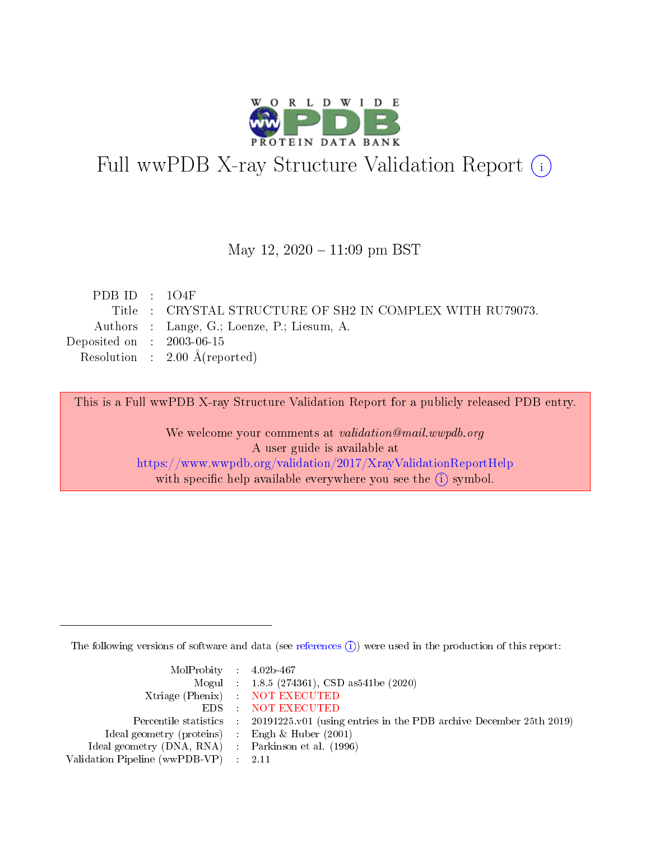

# Full wwPDB X-ray Structure Validation Report (i)

#### May 12,  $2020 - 11:09$  pm BST

| PDB ID : $104F$             |                                                          |
|-----------------------------|----------------------------------------------------------|
|                             | Title: CRYSTAL STRUCTURE OF SH2 IN COMPLEX WITH RU79073. |
|                             | Authors : Lange, G.; Loenze, P.; Liesum, A.              |
| Deposited on : $2003-06-15$ |                                                          |
|                             | Resolution : $2.00 \text{ Å}$ (reported)                 |

This is a Full wwPDB X-ray Structure Validation Report for a publicly released PDB entry.

We welcome your comments at validation@mail.wwpdb.org A user guide is available at <https://www.wwpdb.org/validation/2017/XrayValidationReportHelp> with specific help available everywhere you see the  $(i)$  symbol.

The following versions of software and data (see [references](https://www.wwpdb.org/validation/2017/XrayValidationReportHelp#references)  $(i)$ ) were used in the production of this report:

| $MolProbability$ 4.02b-467                          |                                                                                            |
|-----------------------------------------------------|--------------------------------------------------------------------------------------------|
|                                                     | Mogul : $1.8.5$ (274361), CSD as 541be (2020)                                              |
|                                                     | Xtriage (Phenix) NOT EXECUTED                                                              |
|                                                     | EDS NOT EXECUTED                                                                           |
|                                                     | Percentile statistics : 20191225.v01 (using entries in the PDB archive December 25th 2019) |
| Ideal geometry (proteins) :                         | Engh & Huber $(2001)$                                                                      |
| Ideal geometry (DNA, RNA) : Parkinson et al. (1996) |                                                                                            |
| Validation Pipeline (wwPDB-VP) : 2.11               |                                                                                            |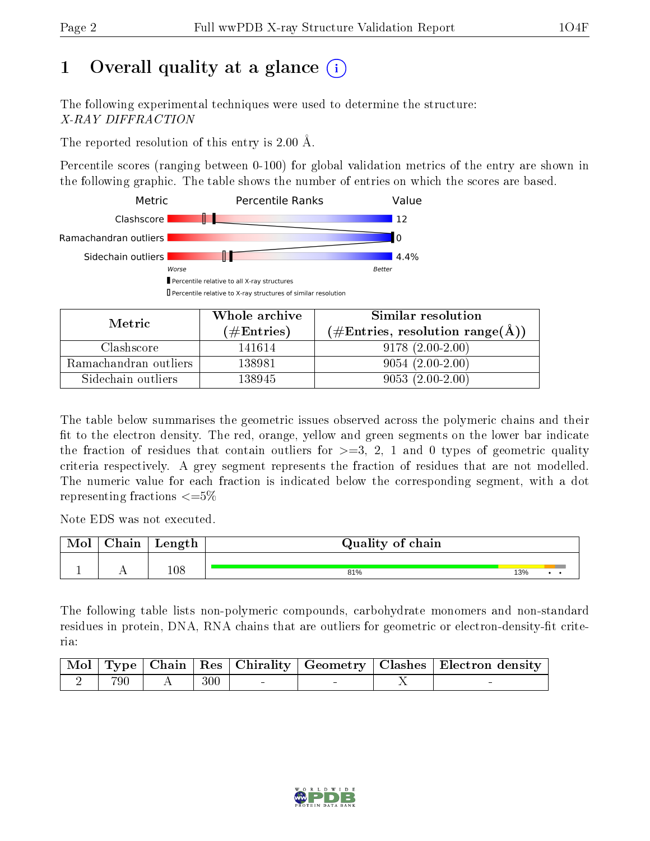## 1 [O](https://www.wwpdb.org/validation/2017/XrayValidationReportHelp#overall_quality)verall quality at a glance  $(i)$

The following experimental techniques were used to determine the structure: X-RAY DIFFRACTION

The reported resolution of this entry is 2.00 Å.

Percentile scores (ranging between 0-100) for global validation metrics of the entry are shown in the following graphic. The table shows the number of entries on which the scores are based.



| Metric                | Whole archive<br>(# $\rm{Entries}$ ) | Similar resolution<br>$(\#\text{Entries}, \text{resolution range}(\text{\AA})$ |
|-----------------------|--------------------------------------|--------------------------------------------------------------------------------|
| Clashscore            | 141614                               | $9178(2.00-2.00)$                                                              |
| Ramachandran outliers | 138981                               | $9054(2.00-2.00)$                                                              |
| Sidechain outliers    | 138945                               | $9053(2.00-2.00)$                                                              |

The table below summarises the geometric issues observed across the polymeric chains and their fit to the electron density. The red, orange, yellow and green segments on the lower bar indicate the fraction of residues that contain outliers for  $\geq=3$ , 2, 1 and 0 types of geometric quality criteria respectively. A grey segment represents the fraction of residues that are not modelled. The numeric value for each fraction is indicated below the corresponding segment, with a dot representing fractions  $\leq=5\%$ 

Note EDS was not executed.

| Mol | ${\rm Chain}$ | Length  | Quality of chain |     |  |  |  |  |
|-----|---------------|---------|------------------|-----|--|--|--|--|
|     |               | $108\,$ |                  |     |  |  |  |  |
|     | . .           |         | 81%              | 13% |  |  |  |  |

The following table lists non-polymeric compounds, carbohydrate monomers and non-standard residues in protein, DNA, RNA chains that are outliers for geometric or electron-density-fit criteria:

|     |     |  | Mol   Type   Chain   Res   Chirality   Geometry   Clashes   Electron density |
|-----|-----|--|------------------------------------------------------------------------------|
| 790 | 300 |  |                                                                              |

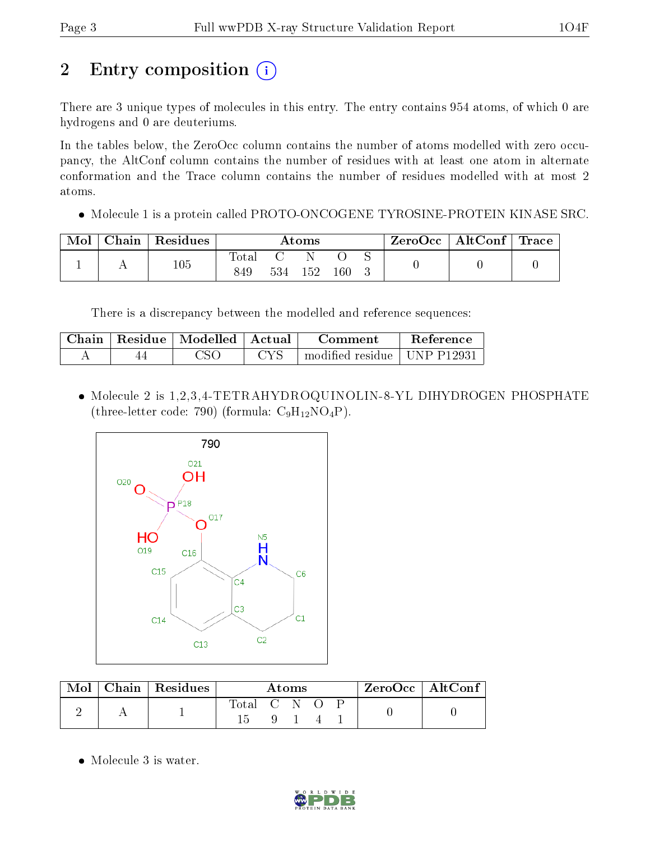# 2 Entry composition (i)

There are 3 unique types of molecules in this entry. The entry contains 954 atoms, of which 0 are hydrogens and 0 are deuteriums.

In the tables below, the ZeroOcc column contains the number of atoms modelled with zero occupancy, the AltConf column contains the number of residues with at least one atom in alternate conformation and the Trace column contains the number of residues modelled with at most 2 atoms.

Molecule 1 is a protein called PROTO-ONCOGENE TYROSINE-PROTEIN KINASE SRC.

| Mol | Chain   Residues | Atoms                 |     |     |     |  | $\text{ZeroOcc}$   AltConf   Trace |  |
|-----|------------------|-----------------------|-----|-----|-----|--|------------------------------------|--|
|     | 105              | $_{\rm Total}$<br>849 | 534 | 152 | 160 |  |                                    |  |

There is a discrepancy between the modelled and reference sequences:

|  | Chain   Residue   Modelled   Actual | Comment                                 | Reference |
|--|-------------------------------------|-----------------------------------------|-----------|
|  | CSC                                 | $\pm$ modified residue $\pm$ UNP P12931 |           |

• Molecule 2 is 1,2,3,4-TETRAHYDROQUINOLIN-8-YL DIHYDROGEN PHOSPHATE (three-letter code: 790) (formula:  $C_9H_{12}NO_4P$ ).



| Mol | $\perp$ Chain   Residues | Atoms       |  |  | $ZeroOcc \   \ AltConf \  $ |  |  |
|-----|--------------------------|-------------|--|--|-----------------------------|--|--|
|     |                          | Total C N O |  |  |                             |  |  |
|     |                          |             |  |  |                             |  |  |

• Molecule 3 is water.

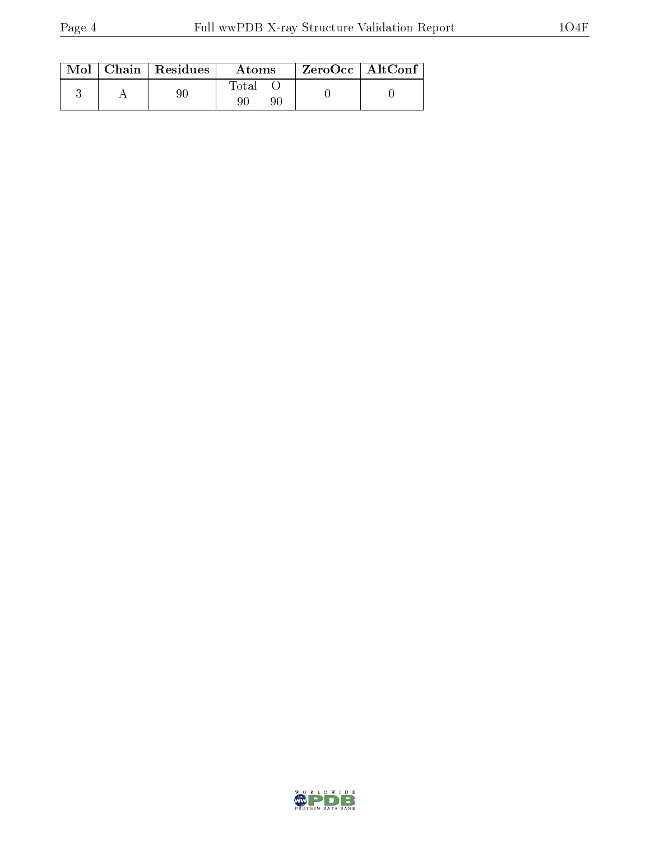|  | $\text{Mol}$   Chain   Residues | Atoms             | $ZeroOcc \mid AltConf \mid$ |
|--|---------------------------------|-------------------|-----------------------------|
|  | 90                              | Total<br>90<br>90 |                             |

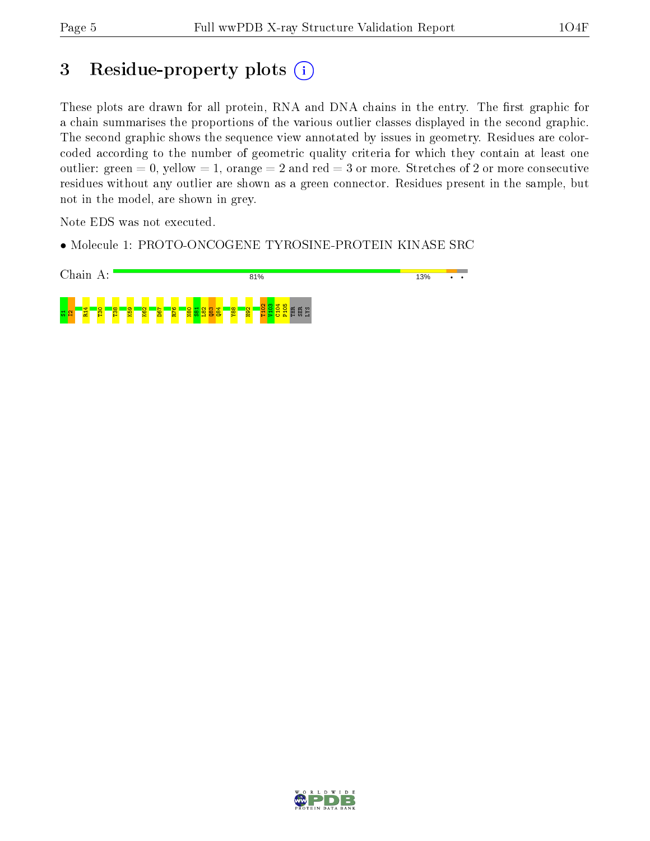### 3 Residue-property plots (i)

These plots are drawn for all protein, RNA and DNA chains in the entry. The first graphic for a chain summarises the proportions of the various outlier classes displayed in the second graphic. The second graphic shows the sequence view annotated by issues in geometry. Residues are colorcoded according to the number of geometric quality criteria for which they contain at least one outlier: green  $= 0$ , yellow  $= 1$ , orange  $= 2$  and red  $= 3$  or more. Stretches of 2 or more consecutive residues without any outlier are shown as a green connector. Residues present in the sample, but not in the model, are shown in grey.

Note EDS was not executed.

• Molecule 1: PROTO-ONCOGENE TYROSINE-PROTEIN KINASE SRC



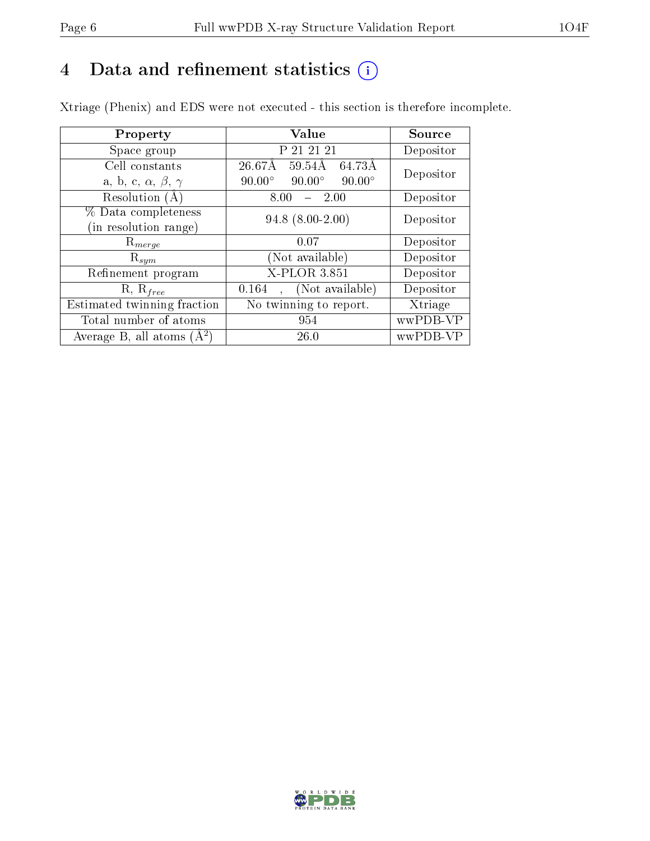## 4 Data and refinement statistics  $(i)$

Xtriage (Phenix) and EDS were not executed - this section is therefore incomplete.

| Property                               | <b>Value</b>                                                 | Source    |  |
|----------------------------------------|--------------------------------------------------------------|-----------|--|
| Space group                            | P 21 21 21                                                   | Depositor |  |
| Cell constants                         | $26.67\text{\AA}$<br>$\overline{59.54\mathrm{A}}$<br>-64.73Å | Depositor |  |
| a, b, c, $\alpha$ , $\beta$ , $\gamma$ | $90.00^\circ$<br>$90.00^\circ$<br>$90.00^\circ$              |           |  |
| Resolution $(A)$                       | $-2.00$<br>8.00                                              | Depositor |  |
| % Data completeness                    | $94.8$ $(8.00-2.00)$                                         | Depositor |  |
| (in resolution range)                  |                                                              |           |  |
| $\mathrm{R}_{merge}$                   | 0.07                                                         | Depositor |  |
| $\mathrm{R}_{sym}$                     | (Not available)                                              | Depositor |  |
| Refinement program                     | X-PLOR 3.851                                                 | Depositor |  |
| $R, R_{free}$                          | (Not available)<br>0.164                                     | Depositor |  |
| Estimated twinning fraction            | $\overline{\text{No}}$ twinning to report.                   | Xtriage   |  |
| Total number of atoms                  | 954                                                          | wwPDB-VP  |  |
| Average B, all atoms $(A^2)$           | 26.0                                                         | wwPDB-VP  |  |

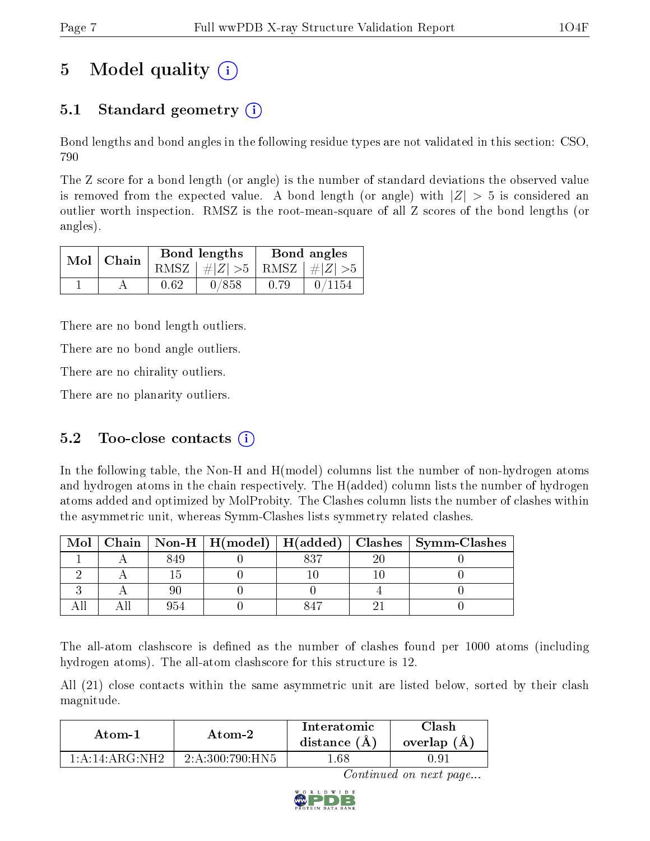## 5 Model quality  $(i)$

### 5.1 Standard geometry  $\overline{()}$

Bond lengths and bond angles in the following residue types are not validated in this section: CSO, 790

The Z score for a bond length (or angle) is the number of standard deviations the observed value is removed from the expected value. A bond length (or angle) with  $|Z| > 5$  is considered an outlier worth inspection. RMSZ is the root-mean-square of all Z scores of the bond lengths (or angles).

| $Mol$   Chain |      | Bond lengths                    | Bond angles |        |  |
|---------------|------|---------------------------------|-------------|--------|--|
|               |      | RMSZ $ #Z  > 5$ RMSZ $ #Z  > 5$ |             |        |  |
|               | 0.62 | 0/858                           | 0.79        | 0/1154 |  |

There are no bond length outliers.

There are no bond angle outliers.

There are no chirality outliers.

There are no planarity outliers.

#### 5.2 Too-close contacts  $(i)$

In the following table, the Non-H and H(model) columns list the number of non-hydrogen atoms and hydrogen atoms in the chain respectively. The H(added) column lists the number of hydrogen atoms added and optimized by MolProbity. The Clashes column lists the number of clashes within the asymmetric unit, whereas Symm-Clashes lists symmetry related clashes.

| Mol |  |     |   | Chain   Non-H   H(model)   H(added)   Clashes   Symm-Clashes |
|-----|--|-----|---|--------------------------------------------------------------|
|     |  | 927 | ഹ |                                                              |
|     |  |     |   |                                                              |
|     |  |     |   |                                                              |
|     |  |     |   |                                                              |

The all-atom clashscore is defined as the number of clashes found per 1000 atoms (including hydrogen atoms). The all-atom clashscore for this structure is 12.

All (21) close contacts within the same asymmetric unit are listed below, sorted by their clash magnitude.

| Atom-1                 | Atom-2            | Interatomic<br>distance $(A)$ | Clash<br>overlap $(A)$ |  |
|------------------------|-------------------|-------------------------------|------------------------|--|
| $1:$ A $:$ 14: ARG·NH2 | $2.4.300.790$ HN5 | .68                           | - u                    |  |

Continued on next page...

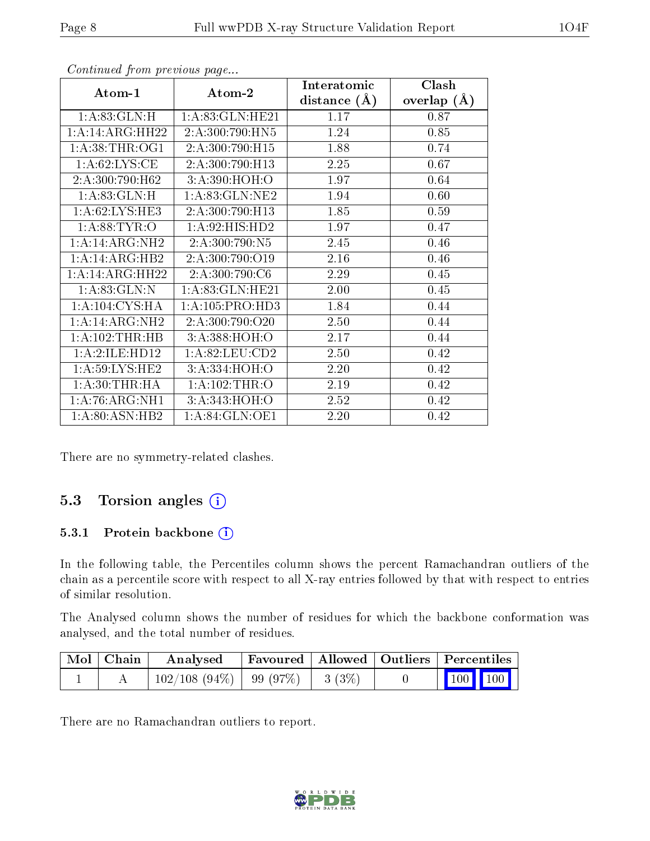| Atom-1                      | Atom-2             | Interatomic      | Clash         |
|-----------------------------|--------------------|------------------|---------------|
|                             |                    | distance $(\AA)$ | overlap $(A)$ |
| 1: A:83: GLN: H             | 1: A:83: GLN: HE21 | 1.17             | 0.87          |
| 1:A:14:ARG:HH22             | 2:A:300:790:HN5    | 1.24             | 0.85          |
| 1: A:38:THR:OG1             | 2:A:300:790:H15    | 1.88             | 0.74          |
| 1: A:62:LYS:CE              | 2:A:300:790:H13    | 2.25             | 0.67          |
| 2:A:300:790:H62             | 3:A:390:HOH:O      | 1.97             | 0.64          |
| 1: A:83: GLN: H             | 1: A:83: GLN: NE2  | 1.94             | 0.60          |
| $1:A:62:LYS:H\overline{E3}$ | 2:A:300:790:H13    | 1.85             | 0.59          |
| 1: A:88: TYR:O              | 1:A:92:HIS:HD2     | 1.97             | 0.47          |
| 1:A:4:ARG:NH2               | 2:A:300:790:N5     | 2.45             | 0.46          |
| $1:A:14:ARG:H\overline{B2}$ | 2:A:300:790:O19    | 2.16             | 0.46          |
| 1:A:14:ARG:HH22             | 2:A:300:790:C6     | 2.29             | 0.45          |
| 1: A:83: GLN:N              | 1: A:83: GLN: HE21 | 2.00             | 0.45          |
| 1: A: 104: CYS: HA          | 1:A:105:PRO:HD3    | 1.84             | 0.44          |
| 1:A:14:ARG:NH2              | 2:A:300:790:O20    | 2.50             | 0.44          |
| 1:A:102:THR:HB              | 3:A:388:HOH:O      | 2.17             | 0.44          |
| 1:A:2:ILE:HD12              | 1: A:82:LEU:CD2    | 2.50             | 0.42          |
| 1: A:59: LYS: HE2           | 3:A:334:HOH:O      | 2.20             | 0.42          |
| 1: A:30:THR:HA              | 1:A:102:THR:O      | 2.19             | 0.42          |
| 1: A:76: ARG: NH1           | 3:A:343:HOH:O      | 2.52             | 0.42          |
| 1: A:80: ASN:HB2            | 1: A:84: GLN:OE1   | 2.20             | 0.42          |

Continued from previous page...

There are no symmetry-related clashes.

#### 5.3 Torsion angles (i)

#### 5.3.1 Protein backbone (i)

In the following table, the Percentiles column shows the percent Ramachandran outliers of the chain as a percentile score with respect to all X-ray entries followed by that with respect to entries of similar resolution.

The Analysed column shows the number of residues for which the backbone conformation was analysed, and the total number of residues.

| $\mid$ Mol $\mid$ Chain | Analysed                     | Favoured   Allowed   Outliers   Percentiles |       |                             |  |
|-------------------------|------------------------------|---------------------------------------------|-------|-----------------------------|--|
|                         | $102/108$ (94\%)   99 (97\%) |                                             | 3(3%) | $\boxed{100}$ $\boxed{100}$ |  |

There are no Ramachandran outliers to report.

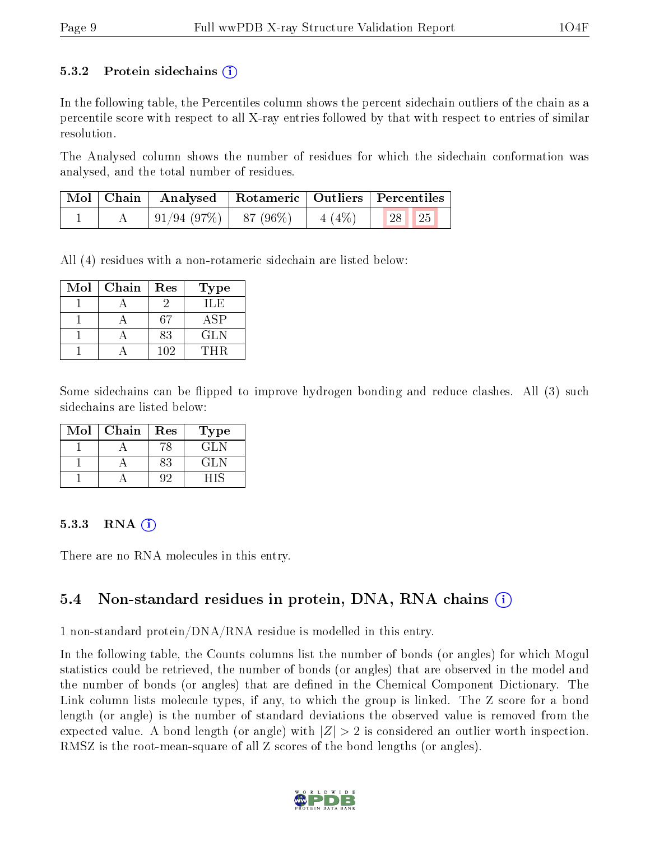#### 5.3.2 Protein sidechains  $\left( \widehat{\mathbf{i}} \right)$

In the following table, the Percentiles column shows the percent sidechain outliers of the chain as a percentile score with respect to all X-ray entries followed by that with respect to entries of similar resolution.

The Analysed column shows the number of residues for which the sidechain conformation was analysed, and the total number of residues.

|  | Mol   Chain   Analysed   Rotameric   Outliers   Percentiles |  |       |  |
|--|-------------------------------------------------------------|--|-------|--|
|  | $\mid 91/94 (97\%) \mid 87 (96\%) \mid 4 (4\%)$             |  | 28 25 |  |

All (4) residues with a non-rotameric sidechain are listed below:

| Mol | Chain | Res | Type       |
|-----|-------|-----|------------|
|     |       |     | H E        |
|     |       | 67  | ASP        |
|     |       | 83  | <b>GLN</b> |
|     |       | 102 | 'THR       |

Some sidechains can be flipped to improve hydrogen bonding and reduce clashes. All (3) such sidechains are listed below:

| $\operatorname{Mol}$ | Chain | Res | Type |
|----------------------|-------|-----|------|
|                      |       |     | GL N |
|                      |       | 83  | GL N |
|                      |       |     |      |

#### 5.3.3 RNA [O](https://www.wwpdb.org/validation/2017/XrayValidationReportHelp#rna)i

There are no RNA molecules in this entry.

#### 5.4 Non-standard residues in protein, DNA, RNA chains (i)

1 non-standard protein/DNA/RNA residue is modelled in this entry.

In the following table, the Counts columns list the number of bonds (or angles) for which Mogul statistics could be retrieved, the number of bonds (or angles) that are observed in the model and the number of bonds (or angles) that are defined in the Chemical Component Dictionary. The Link column lists molecule types, if any, to which the group is linked. The Z score for a bond length (or angle) is the number of standard deviations the observed value is removed from the expected value. A bond length (or angle) with  $|Z| > 2$  is considered an outlier worth inspection. RMSZ is the root-mean-square of all Z scores of the bond lengths (or angles).

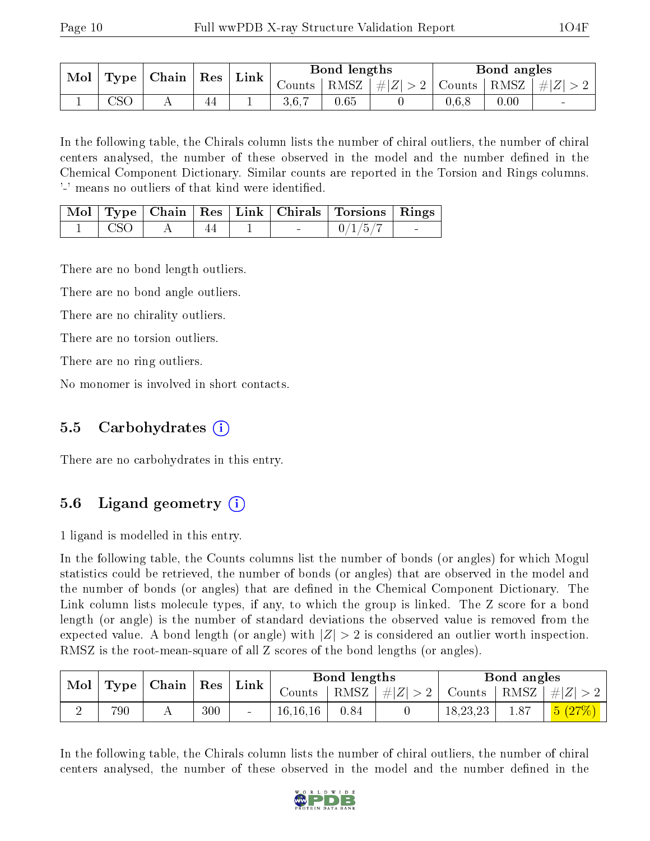| Chain  <br>Mol<br><b>Type</b> | Res | $\Box$ Link | Bond lengths |                                    |      | Bond angles          |        |               |                          |
|-------------------------------|-----|-------------|--------------|------------------------------------|------|----------------------|--------|---------------|--------------------------|
|                               |     |             |              | $\frac{1}{2}$ Counts $\frac{1}{2}$ |      | $ RMSZ $ $\# Z  > 2$ | Counts | RMSZ   $# Z $ |                          |
|                               | CSC | 44          |              | 3.6.7                              | 0.65 |                      | 0.6.8  | 0.00          | $\overline{\phantom{0}}$ |

In the following table, the Chirals column lists the number of chiral outliers, the number of chiral centers analysed, the number of these observed in the model and the number defined in the Chemical Component Dictionary. Similar counts are reported in the Torsion and Rings columns. '-' means no outliers of that kind were identified.

|        |  |  | Mol   Type   Chain   Res   Link   Chirals   Torsions   Rings |  |
|--------|--|--|--------------------------------------------------------------|--|
| t CSO. |  |  | 0/1/5/7                                                      |  |

There are no bond length outliers.

There are no bond angle outliers.

There are no chirality outliers.

There are no torsion outliers.

There are no ring outliers.

No monomer is involved in short contacts.

#### 5.5 Carbohydrates (i)

There are no carbohydrates in this entry.

### 5.6 Ligand geometry (i)

1 ligand is modelled in this entry.

In the following table, the Counts columns list the number of bonds (or angles) for which Mogul statistics could be retrieved, the number of bonds (or angles) that are observed in the model and the number of bonds (or angles) that are defined in the Chemical Component Dictionary. The Link column lists molecule types, if any, to which the group is linked. The Z score for a bond length (or angle) is the number of standard deviations the observed value is removed from the expected value. A bond length (or angle) with  $|Z| > 2$  is considered an outlier worth inspection. RMSZ is the root-mean-square of all Z scores of the bond lengths (or angles).

| Mol | Type    | Chain | $\operatorname{Res}$<br>Link |        | Bond lengths |      | Bond angles |          |      |          |
|-----|---------|-------|------------------------------|--------|--------------|------|-------------|----------|------|----------|
|     |         |       |                              |        | Counts       | RMSZ | $\# Z $     | Counts   | RMSZ | $\# Z $  |
|     | $790\,$ |       | 300                          | $\sim$ | 16, 16, 16   | 0.84 |             | 18,23,23 | 1.87 | (5 (27%) |

In the following table, the Chirals column lists the number of chiral outliers, the number of chiral centers analysed, the number of these observed in the model and the number defined in the

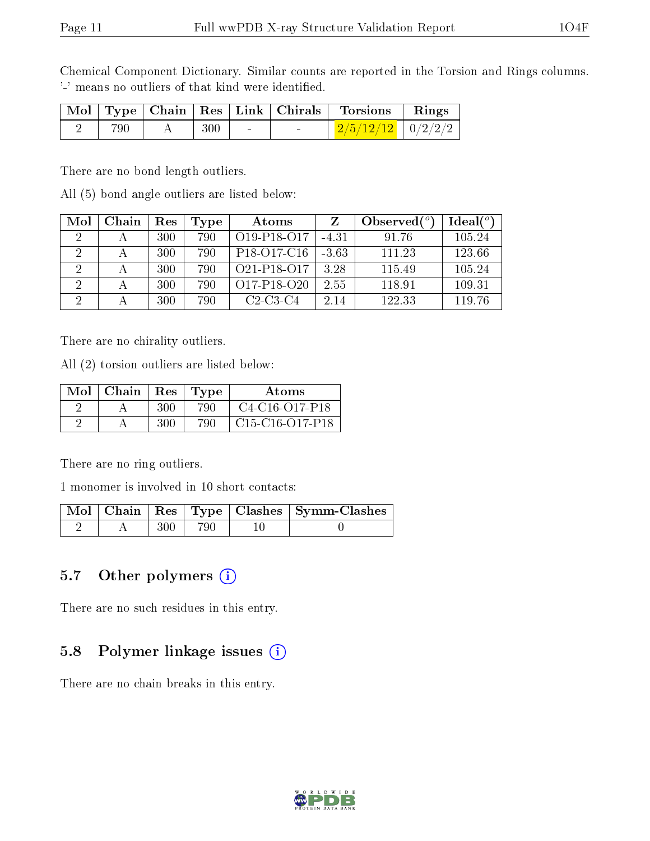Chemical Component Dictionary. Similar counts are reported in the Torsion and Rings columns. '-' means no outliers of that kind were identified.

|     |     |        |        | Mol   Type   Chain   Res   Link   Chirals   Torsions   Rings |  |
|-----|-----|--------|--------|--------------------------------------------------------------|--|
| 790 | 300 | $\sim$ | $\sim$ | $\frac{2/5/12/12}{10/2/2/2}$                                 |  |

There are no bond length outliers.

All (5) bond angle outliers are listed below:

| Mol            | Chain | $\operatorname{Res}% \left( \mathcal{N}\right) \equiv\operatorname{Res}(\mathcal{N}_{0})\cap\mathcal{N}_{1}$ | Type | Atoms                                             |         | Observed $(°)$ | Ideal(°) |
|----------------|-------|--------------------------------------------------------------------------------------------------------------|------|---------------------------------------------------|---------|----------------|----------|
|                |       | 300                                                                                                          | 790  | O <sub>19</sub> -P <sub>18</sub> -O <sub>17</sub> | $-4.31$ | 91.76          | 105.24   |
|                |       | 300                                                                                                          | 790  | P <sub>18</sub> -O <sub>17</sub> -C <sub>16</sub> | $-3.63$ | 111.23         | 123.66   |
|                |       | 300                                                                                                          | 790  | O <sub>21</sub> -P <sub>18</sub> -O <sub>17</sub> | 3.28    | 115.49         | 105.24   |
| $\overline{2}$ |       | 300                                                                                                          | 790  | $O17-P18-O20$                                     | 2.55    | 118.91         | 109.31   |
| $\overline{2}$ |       | 300                                                                                                          | 790  | $C2-C3-C4$                                        | 2.14    | 122.33         | 119.76   |

There are no chirality outliers.

All (2) torsion outliers are listed below:

| Mol | Chain | Res | Type | Atoms             |
|-----|-------|-----|------|-------------------|
|     |       | 300 | 790  | $C4-C16-C17-P18$  |
|     |       | 300 | 790  | $C15-C16-O17-P18$ |

There are no ring outliers.

1 monomer is involved in 10 short contacts:

|  |      |     | Mol   Chain   Res   Type   Clashes   Symm-Clashes |
|--|------|-----|---------------------------------------------------|
|  | -300 | 790 |                                                   |

#### 5.7 [O](https://www.wwpdb.org/validation/2017/XrayValidationReportHelp#nonstandard_residues_and_ligands)ther polymers  $(i)$

There are no such residues in this entry.

#### 5.8 Polymer linkage issues (i)

There are no chain breaks in this entry.